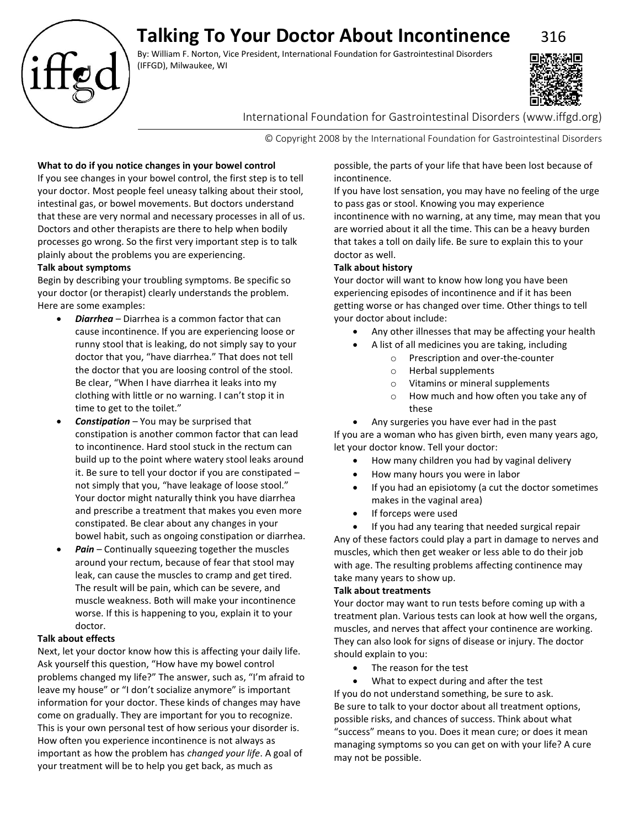# **Talking To Your Doctor About Incontinence** 316

By: William F. Norton, Vice President, International Foundation for Gastrointestinal Disorders (IFFGD), Milwaukee, WI



International Foundation for Gastrointestinal Disorders (www.iffgd.org)

© Copyright 2008 by the International Foundation for Gastrointestinal Disorders

# **What to do if you notice changes in your bowel control**

If you see changes in your bowel control, the first step is to tell your doctor. Most people feel uneasy talking about their stool, intestinal gas, or bowel movements. But doctors understand that these are very normal and necessary processes in all of us. Doctors and other therapists are there to help when bodily processes go wrong. So the first very important step is to talk plainly about the problems you are experiencing.

# **Talk about symptoms**

Begin by describing your troubling symptoms. Be specific so your doctor (or therapist) clearly understands the problem. Here are some examples:

- *Diarrhea* Diarrhea is a common factor that can cause incontinence. If you are experiencing loose or runny stool that is leaking, do not simply say to your doctor that you, "have diarrhea." That does not tell the doctor that you are loosing control of the stool. Be clear, "When I have diarrhea it leaks into my clothing with little or no warning. I can't stop it in time to get to the toilet."
- *Constipation* You may be surprised that constipation is another common factor that can lead to incontinence. Hard stool stuck in the rectum can build up to the point where watery stool leaks around it. Be sure to tell your doctor if you are constipated – not simply that you, "have leakage of loose stool." Your doctor might naturally think you have diarrhea and prescribe a treatment that makes you even more constipated. Be clear about any changes in your bowel habit, such as ongoing constipation or diarrhea.
- Pain Continually squeezing together the muscles around your rectum, because of fear that stool may leak, can cause the muscles to cramp and get tired. The result will be pain, which can be severe, and muscle weakness. Both will make your incontinence worse. If this is happening to you, explain it to your doctor.

# **Talk about effects**

Next, let your doctor know how this is affecting your daily life. Ask yourself this question, "How have my bowel control problems changed my life?" The answer, such as, "I'm afraid to leave my house" or "I don't socialize anymore" is important information for your doctor. These kinds of changes may have come on gradually. They are important for you to recognize. This is your own personal test of how serious your disorder is. How often you experience incontinence is not always as important as how the problem has *changed your life*. A goal of your treatment will be to help you get back, as much as

possible, the parts of your life that have been lost because of incontinence.

If you have lost sensation, you may have no feeling of the urge to pass gas or stool. Knowing you may experience incontinence with no warning, at any time, may mean that you are worried about it all the time. This can be a heavy burden that takes a toll on daily life. Be sure to explain this to your doctor as well.

## **Talk about history**

Your doctor will want to know how long you have been experiencing episodes of incontinence and if it has been getting worse or has changed over time. Other things to tell your doctor about include:

- Any other illnesses that may be affecting your health
- A list of all medicines you are taking, including
	- o Prescription and over-the-counter
	- o Herbal supplements
	- o Vitamins or mineral supplements
	- o How much and how often you take any of these
- Any surgeries you have ever had in the past

If you are a woman who has given birth, even many years ago, let your doctor know. Tell your doctor:

- How many children you had by vaginal delivery
- How many hours you were in labor
- If you had an episiotomy (a cut the doctor sometimes makes in the vaginal area)
- If forceps were used

If you had any tearing that needed surgical repair Any of these factors could play a part in damage to nerves and muscles, which then get weaker or less able to do their job with age. The resulting problems affecting continence may

# **Talk about treatments**

take many years to show up.

Your doctor may want to run tests before coming up with a treatment plan. Various tests can look at how well the organs, muscles, and nerves that affect your continence are working. They can also look for signs of disease or injury. The doctor should explain to you:

• The reason for the test

• What to expect during and after the test If you do not understand something, be sure to ask. Be sure to talk to your doctor about all treatment options, possible risks, and chances of success. Think about what "success" means to you. Does it mean cure; or does it mean managing symptoms so you can get on with your life? A cure may not be possible.